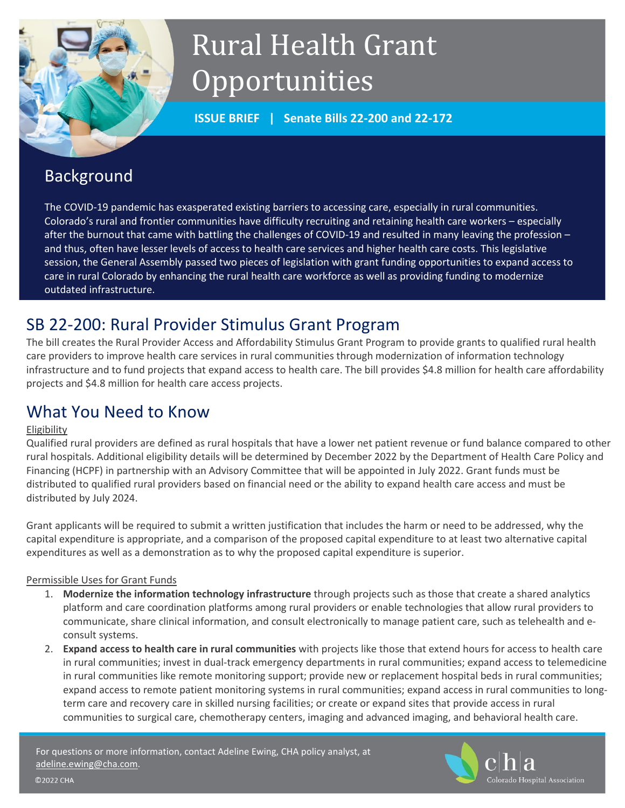

# Rural Health Grant Opportunities

**ISSUE BRIEF | Senate Bills 22-200 and 22-172**

# Background

The COVID-19 pandemic has exasperated existing barriers to accessing care, especially in rural communities. Colorado's rural and frontier communities have difficulty recruiting and retaining health care workers – especially after the burnout that came with battling the challenges of COVID-19 and resulted in many leaving the profession – and thus, often have lesser levels of access to health care services and higher health care costs. This legislative session, the General Assembly passed two pieces of legislation with grant funding opportunities to expand access to care in rural Colorado by enhancing the rural health care workforce as well as providing funding to modernize outdated infrastructure.

# SB 22-200: Rural Provider Stimulus Grant Program

The bill creates the Rural Provider Access and Affordability Stimulus Grant Program to provide grants to qualified rural health care providers to improve health care services in rural communities through modernization of information technology infrastructure and to fund projects that expand access to health care. The bill provides \$4.8 million for health care affordability projects and \$4.8 million for health care access projects.

# What You Need to Know

#### Eligibility

Qualified rural providers are defined as rural hospitals that have a lower net patient revenue or fund balance compared to other rural hospitals. Additional eligibility details will be determined by December 2022 by the Department of Health Care Policy and Financing (HCPF) in partnership with an Advisory Committee that will be appointed in July 2022. Grant funds must be distributed to qualified rural providers based on financial need or the ability to expand health care access and must be distributed by July 2024.

Grant applicants will be required to submit a written justification that includes the harm or need to be addressed, why the capital expenditure is appropriate, and a comparison of the proposed capital expenditure to at least two alternative capital expenditures as well as a demonstration as to why the proposed capital expenditure is superior.

#### Permissible Uses for Grant Funds

- 1. **Modernize the information technology infrastructure** through projects such as those that create a shared analytics platform and care coordination platforms among rural providers or enable technologies that allow rural providers to communicate, share clinical information, and consult electronically to manage patient care, such as telehealth and econsult systems.
- 2. **Expand access to health care in rural communities** with projects like those that extend hours for access to health care in rural communities; invest in dual-track emergency departments in rural communities; expand access to telemedicine in rural communities like remote monitoring support; provide new or replacement hospital beds in rural communities; expand access to remote patient monitoring systems in rural communities; expand access in rural communities to longterm care and recovery care in skilled nursing facilities; or create or expand sites that provide access in rural communities to surgical care, chemotherapy centers, imaging and advanced imaging, and behavioral health care.